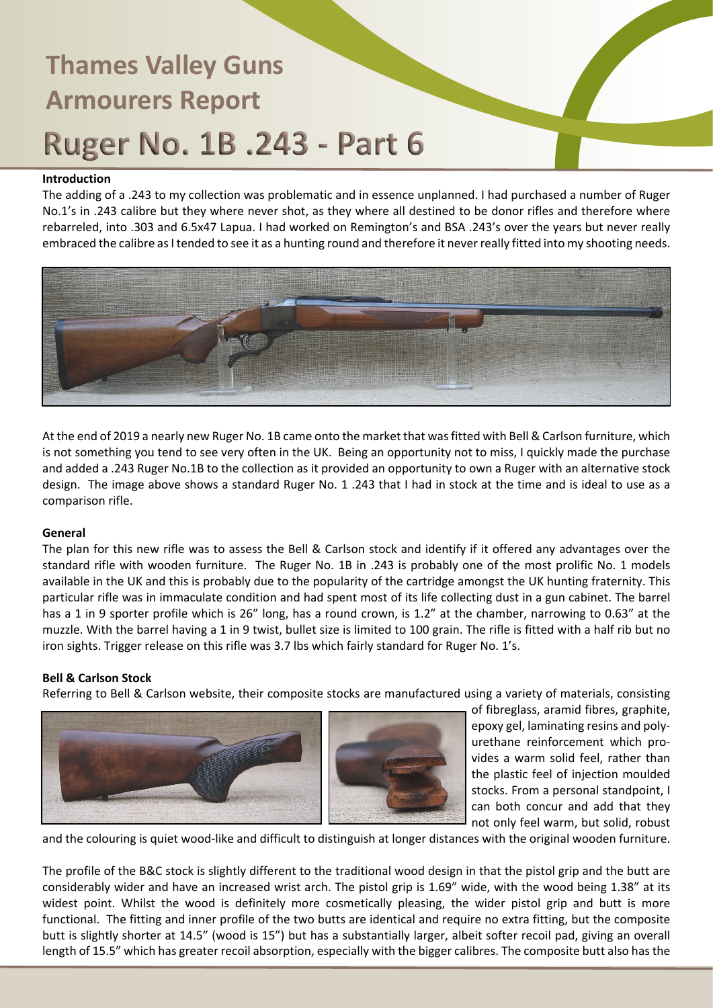# **Thames Valley Guns Armourers Report Ruger No. 1B.243 - Part 6**

### **Introduction**

The adding of a .243 to my collection was problematic and in essence unplanned. I had purchased a number of Ruger No.1's in .243 calibre but they where never shot, as they where all destined to be donor rifles and therefore where rebarreled, into .303 and 6.5x47 Lapua. I had worked on Remington's and BSA .243's over the years but never really embraced the calibre as I tended to see it as a hunting round and therefore it never really fitted into my shooting needs.



At the end of 2019 a nearly new Ruger No. 1B came onto the market that was fitted with Bell & Carlson furniture, which is not something you tend to see very often in the UK. Being an opportunity not to miss, I quickly made the purchase and added a .243 Ruger No.1B to the collection as it provided an opportunity to own a Ruger with an alternative stock design. The image above shows a standard Ruger No. 1 .243 that I had in stock at the time and is ideal to use as a comparison rifle.

### **General**

The plan for this new rifle was to assess the Bell & Carlson stock and identify if it offered any advantages over the standard rifle with wooden furniture. The Ruger No. 1B in .243 is probably one of the most prolific No. 1 models available in the UK and this is probably due to the popularity of the cartridge amongst the UK hunting fraternity. This particular rifle was in immaculate condition and had spent most of its life collecting dust in a gun cabinet. The barrel has a 1 in 9 sporter profile which is 26" long, has a round crown, is 1.2" at the chamber, narrowing to 0.63" at the muzzle. With the barrel having a 1 in 9 twist, bullet size is limited to 100 grain. The rifle is fitted with a half rib but no iron sights. Trigger release on this rifle was 3.7 lbs which fairly standard for Ruger No. 1's.

## **Bell & Carlson Stock**

Referring to Bell & Carlson website, their composite stocks are manufactured using a variety of materials, consisting



of fibreglass, aramid fibres, graphite, epoxy gel, laminating resins and polyurethane reinforcement which provides a warm solid feel, rather than the plastic feel of injection moulded stocks. From a personal standpoint, I can both concur and add that they not only feel warm, but solid, robust

and the colouring is quiet wood-like and difficult to distinguish at longer distances with the original wooden furniture.

The profile of the B&C stock is slightly different to the traditional wood design in that the pistol grip and the butt are considerably wider and have an increased wrist arch. The pistol grip is 1.69" wide, with the wood being 1.38" at its widest point. Whilst the wood is definitely more cosmetically pleasing, the wider pistol grip and butt is more functional. The fitting and inner profile of the two butts are identical and require no extra fitting, but the composite butt is slightly shorter at 14.5" (wood is 15") but has a substantially larger, albeit softer recoil pad, giving an overall length of 15.5" which has greater recoil absorption, especially with the bigger calibres. The composite butt also has the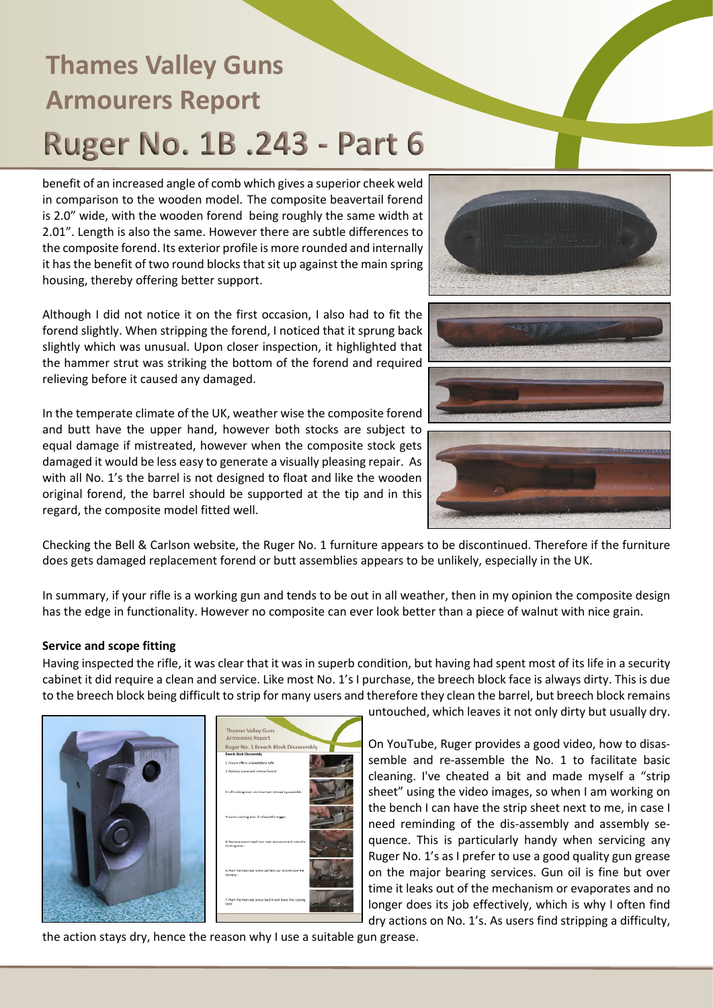# **Thames Valley Guns Armourers Report** Ruger No. 1B .243 - Part 6

benefit of an increased angle of comb which gives a superior cheek weld in comparison to the wooden model. The composite beavertail forend is 2.0" wide, with the wooden forend being roughly the same width at 2.01". Length is also the same. However there are subtle differences to the composite forend. Its exterior profile is more rounded and internally it has the benefit of two round blocks that sit up against the main spring housing, thereby offering better support.

Although I did not notice it on the first occasion, I also had to fit the forend slightly. When stripping the forend, I noticed that it sprung back slightly which was unusual. Upon closer inspection, it highlighted that the hammer strut was striking the bottom of the forend and required relieving before it caused any damaged.

In the temperate climate of the UK, weather wise the composite forend and butt have the upper hand, however both stocks are subject to equal damage if mistreated, however when the composite stock gets damaged it would be less easy to generate a visually pleasing repair. As with all No. 1's the barrel is not designed to float and like the wooden original forend, the barrel should be supported at the tip and in this regard, the composite model fitted well.



Checking the Bell & Carlson website, the Ruger No. 1 furniture appears to be discontinued. Therefore if the furniture does gets damaged replacement forend or butt assemblies appears to be unlikely, especially in the UK.

In summary, if your rifle is a working gun and tends to be out in all weather, then in my opinion the composite design has the edge in functionality. However no composite can ever look better than a piece of walnut with nice grain.

### **Service and scope fitting**

Having inspected the rifle, it was clear that it was in superb condition, but having had spent most of its life in a security cabinet it did require a clean and service. Like most No. 1's I purchase, the breech block face is always dirty. This is due to the breech block being difficult to strip for many users and therefore they clean the barrel, but breech block remains



untouched, which leaves it not only dirty but usually dry.

On YouTube, Ruger provides a good video, how to disassemble and re-assemble the No. 1 to facilitate basic cleaning. I've cheated a bit and made myself a "strip sheet" using the video images, so when I am working on the bench I can have the strip sheet next to me, in case I need reminding of the dis-assembly and assembly sequence. This is particularly handy when servicing any Ruger No. 1's as I prefer to use a good quality gun grease on the major bearing services. Gun oil is fine but over time it leaks out of the mechanism or evaporates and no longer does its job effectively, which is why I often find dry actions on No. 1's. As users find stripping a difficulty,

the action stays dry, hence the reason why I use a suitable gun grease.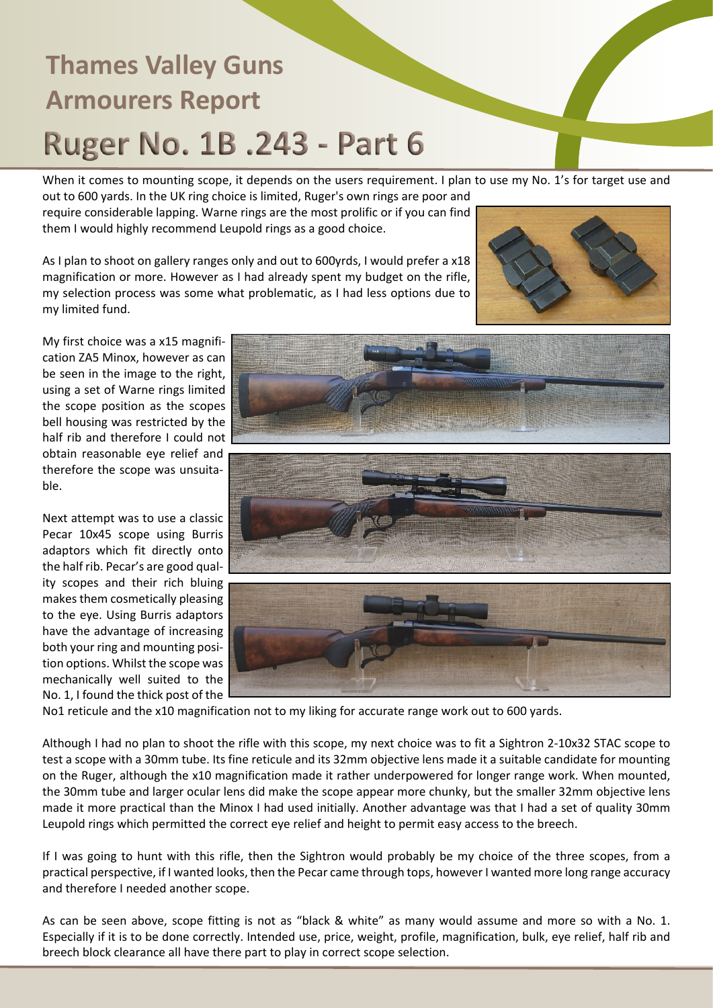# **Thames Valley Guns Armourers Report Ruger No. 1B.243 - Part 6**

When it comes to mounting scope, it depends on the users requirement. I plan to use my No. 1's for target use and out to 600 yards. In the UK ring choice is limited, Ruger's own rings are poor and

require considerable lapping. Warne rings are the most prolific or if you can find them I would highly recommend Leupold rings as a good choice.

As I plan to shoot on gallery ranges only and out to 600yrds, I would prefer a x18 magnification or more. However as I had already spent my budget on the rifle, my selection process was some what problematic, as I had less options due to my limited fund.



My first choice was a x15 magnification ZA5 Minox, however as can be seen in the image to the right, using a set of Warne rings limited the scope position as the scopes bell housing was restricted by the half rib and therefore I could not obtain reasonable eye relief and therefore the scope was unsuitable.

Next attempt was to use a classic Pecar 10x45 scope using Burris adaptors which fit directly onto the half rib. Pecar's are good quality scopes and their rich bluing makes them cosmetically pleasing to the eye. Using Burris adaptors have the advantage of increasing both your ring and mounting position options. Whilst the scope was mechanically well suited to the No. 1, I found the thick post of the





No1 reticule and the x10 magnification not to my liking for accurate range work out to 600 yards.

Although I had no plan to shoot the rifle with this scope, my next choice was to fit a Sightron 2-10x32 STAC scope to test a scope with a 30mm tube. Its fine reticule and its 32mm objective lens made it a suitable candidate for mounting on the Ruger, although the x10 magnification made it rather underpowered for longer range work. When mounted, the 30mm tube and larger ocular lens did make the scope appear more chunky, but the smaller 32mm objective lens made it more practical than the Minox I had used initially. Another advantage was that I had a set of quality 30mm Leupold rings which permitted the correct eye relief and height to permit easy access to the breech.

If I was going to hunt with this rifle, then the Sightron would probably be my choice of the three scopes, from a practical perspective, if I wanted looks, then the Pecar came through tops, however I wanted more long range accuracy and therefore I needed another scope.

As can be seen above, scope fitting is not as "black & white" as many would assume and more so with a No. 1. Especially if it is to be done correctly. Intended use, price, weight, profile, magnification, bulk, eye relief, half rib and breech block clearance all have there part to play in correct scope selection.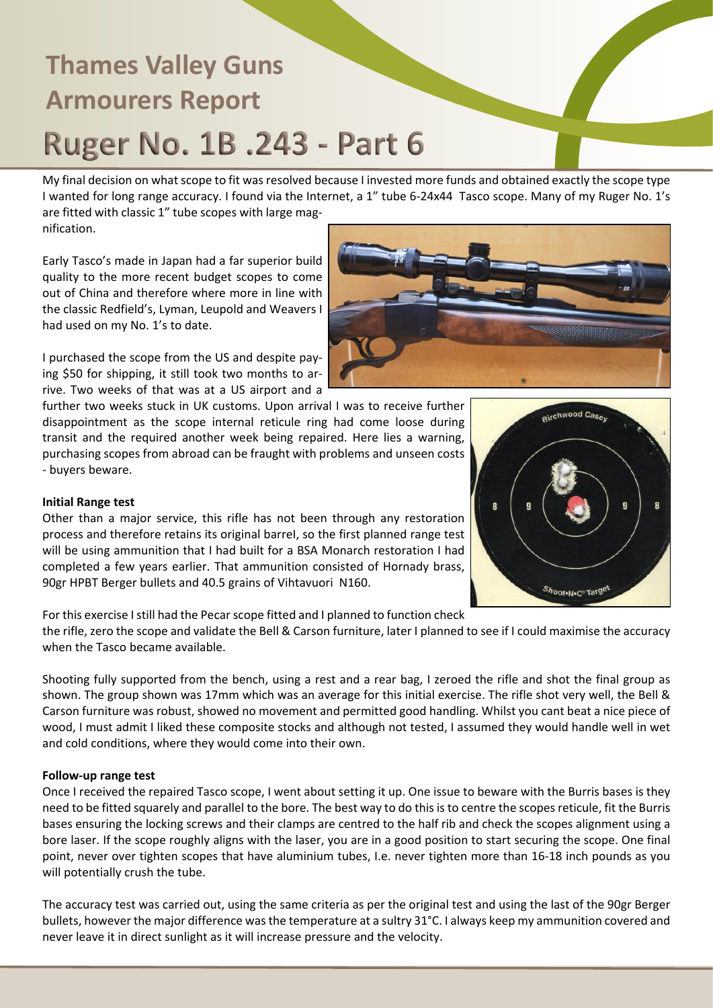# **Thames Valley Guns Armourers Report** Ruger No. 1B .243 - Part 6

My final decision on what scope to fit was resolved because I invested more funds and obtained exactly the scope type I wanted for long range accuracy. I found via the Internet, a 1" tube 6-24x44 Tasco scope. Many of my Ruger No. 1's are fitted with classic 1" tube scopes with large mag-

nification.

Early Tasco's made in Japan had a far superior build quality to the more recent budget scopes to come out of China and therefore where more in line with the classic Redfield's, Lyman, Leupold and Weavers I had used on my No. 1's to date.

I purchased the scope from the US and despite paying \$50 for shipping, it still took two months to arrive. Two weeks of that was at a US airport and a

further two weeks stuck in UK customs. Upon arrival I was to receive further disappointment as the scope internal reticule ring had come loose during transit and the required another week being repaired. Here lies a warning, purchasing scopes from abroad can be fraught with problems and unseen costs - buyers beware.

### **Initial Range test**

Other than a major service, this rifle has not been through any restoration process and therefore retains its original barreI, so the first planned range test will be using ammunition that I had built for a BSA Monarch restoration I had completed a few years earlier. That ammunition consisted of Hornady brass, 90gr HPBT Berger bullets and 40.5 grains of Vihtavuori N160.

For this exercise I still had the Pecar scope fitted and I planned to function check

the rifle, zero the scope and validate the Bell & Carson furniture, later I planned to see if I could maximise the accuracy when the Tasco became available.

Shooting fully supported from the bench, using a rest and a rear bag, I zeroed the rifle and shot the final group as shown. The group shown was 17mm which was an average for this initial exercise. The rifle shot very well, the Bell & Carson furniture was robust, showed no movement and permitted good handling. Whilst you cant beat a nice piece of wood, I must admit I liked these composite stocks and although not tested, I assumed they would handle well in wet and cold conditions, where they would come into their own.

### **Follow-up range test**

Once I received the repaired Tasco scope, I went about setting it up. One issue to beware with the Burris bases is they need to be fitted squarely and parallel to the bore. The best way to do this is to centre the scopes reticule, fit the Burris bases ensuring the locking screws and their clamps are centred to the half rib and check the scopes alignment using a bore laser. If the scope roughly aligns with the laser, you are in a good position to start securing the scope. One final point, never over tighten scopes that have aluminium tubes, I.e. never tighten more than 16-18 inch pounds as you will potentially crush the tube.

The accuracy test was carried out, using the same criteria as per the original test and using the last of the 90gr Berger bullets, however the major difference was the temperature at a sultry 31°C. I always keep my ammunition covered and never leave it in direct sunlight as it will increase pressure and the velocity.